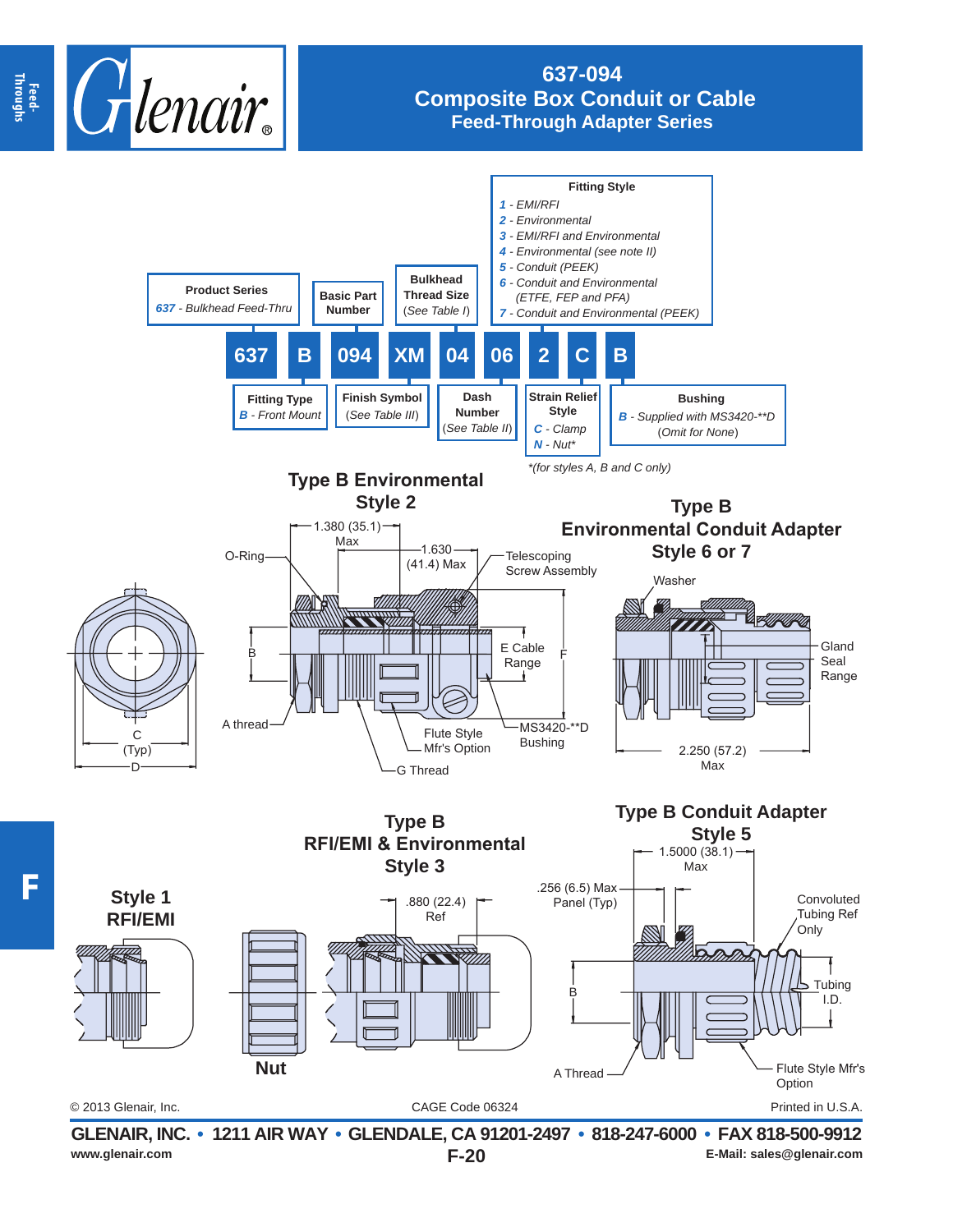

## **637-094 Composite Box Conduit or Cable Feed-Through Adapter Series**



**F**

**E-Mail: sales@glenair.com E-Mail: sales@glenair.com E-Mail: sales@glenair.com**